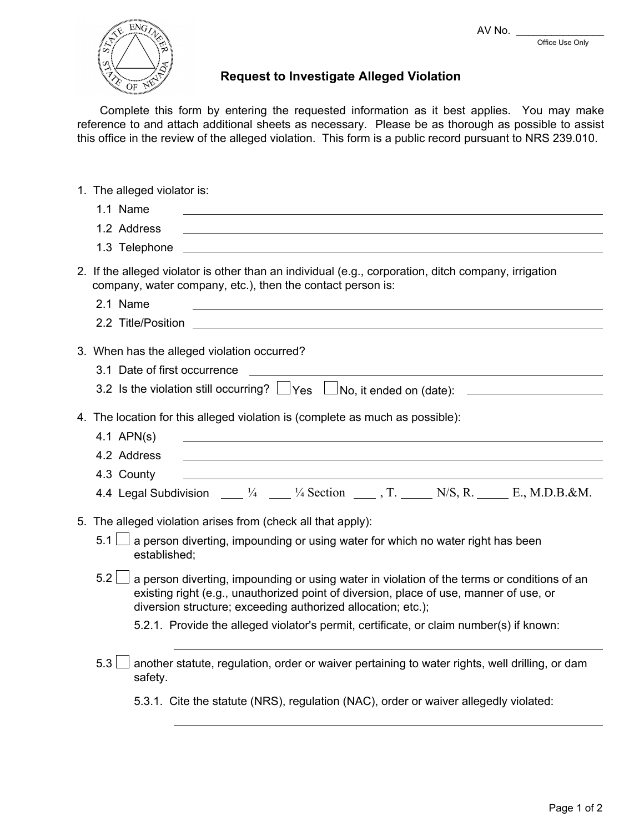AV No.  $\overline{\phantom{a}}$ 

Office Use Only



## **Request to Investigate Alleged Violation**

Complete this form by entering the requested information as it best applies. You may make reference to and attach additional sheets as necessary. Please be as thorough as possible to assist this office in the review of the alleged violation. This form is a public record pursuant to NRS 239.010.

| 1. The alleged violator is:                                                                                                                                                                                                                                  |
|--------------------------------------------------------------------------------------------------------------------------------------------------------------------------------------------------------------------------------------------------------------|
| 1.1 Name                                                                                                                                                                                                                                                     |
| 1.2 Address                                                                                                                                                                                                                                                  |
| 1.3 Telephone                                                                                                                                                                                                                                                |
| 2. If the alleged violator is other than an individual (e.g., corporation, ditch company, irrigation<br>company, water company, etc.), then the contact person is:                                                                                           |
| 2.1 Name<br><u> 1980 - Johann Barn, fransk politik (f. 1980)</u>                                                                                                                                                                                             |
|                                                                                                                                                                                                                                                              |
| 3. When has the alleged violation occurred?                                                                                                                                                                                                                  |
| 3.1 Date of first occurrence<br><u> 1989 - Jan Alexandri, fransk politik (d. 1989)</u>                                                                                                                                                                       |
| 3.2 Is the violation still occurring? $\Box$ Yes $\Box$ No, it ended on (date): $\Box$                                                                                                                                                                       |
| 4. The location for this alleged violation is (complete as much as possible):                                                                                                                                                                                |
| 4.1 $APN(s)$                                                                                                                                                                                                                                                 |
| 4.2 Address                                                                                                                                                                                                                                                  |
| 4.3 County                                                                                                                                                                                                                                                   |
| 4.4 Legal Subdivision ____ 1/4 ____ 1/4 Section ____ , T. _____ N/S, R. _____ E., M.D.B.&M.                                                                                                                                                                  |
| 5. The alleged violation arises from (check all that apply):                                                                                                                                                                                                 |
| a person diverting, impounding or using water for which no water right has been<br>$5.1$  <br>established:                                                                                                                                                   |
| 5.2<br>a person diverting, impounding or using water in violation of the terms or conditions of an<br>existing right (e.g., unauthorized point of diversion, place of use, manner of use, or<br>diversion structure; exceeding authorized allocation; etc.); |
| 5.2.1. Provide the alleged violator's permit, certificate, or claim number(s) if known:                                                                                                                                                                      |
| 5.3<br>another statute, regulation, order or waiver pertaining to water rights, well drilling, or dam<br>safety.                                                                                                                                             |
| 5.3.1. Cite the statute (NRS), regulation (NAC), order or waiver allegedly violated:                                                                                                                                                                         |